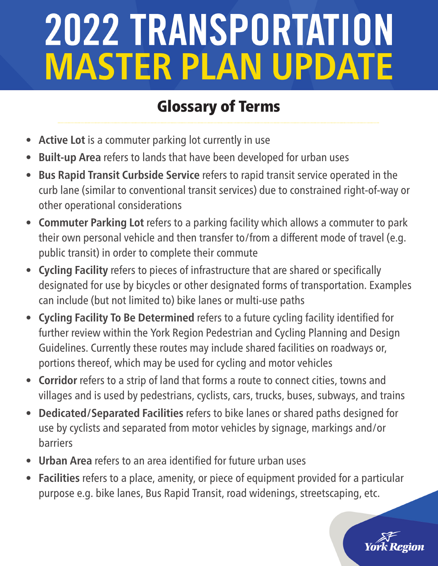- **• Active Lot** is a commuter parking lot currently in use
- **• Built-up Area** refers to lands that have been developed for urban uses
- **• Bus Rapid Transit Curbside Service** refers to rapid transit service operated in the curb lane (similar to conventional transit services) due to constrained right-of-way or other operational considerations
- **• Commuter Parking Lot** refers to a parking facility which allows a commuter to park their own personal vehicle and then transfer to/from a different mode of travel (e.g. public transit) in order to complete their commute
- **• Cycling Facility** refers to pieces of infrastructure that are shared or specifically designated for use by bicycles or other designated forms of transportation. Examples can include (but not limited to) bike lanes or multi-use paths
- **• Cycling Facility To Be Determined** refers to a future cycling facility identified for further review within the York Region Pedestrian and Cycling Planning and Design Guidelines. Currently these routes may include shared facilities on roadways or, portions thereof, which may be used for cycling and motor vehicles
- **• Corridor** refers to a strip of land that forms a route to connect cities, towns and villages and is used by pedestrians, cyclists, cars, trucks, buses, subways, and trains
- **• Dedicated/Separated Facilities** refers to bike lanes or shared paths designed for use by cyclists and separated from motor vehicles by signage, markings and/or barriers
- **• Urban Area** refers to an area identified for future urban uses
- **• Facilities** refers to a place, amenity, or piece of equipment provided for a particular purpose e.g. bike lanes, Bus Rapid Transit, road widenings, streetscaping, etc.

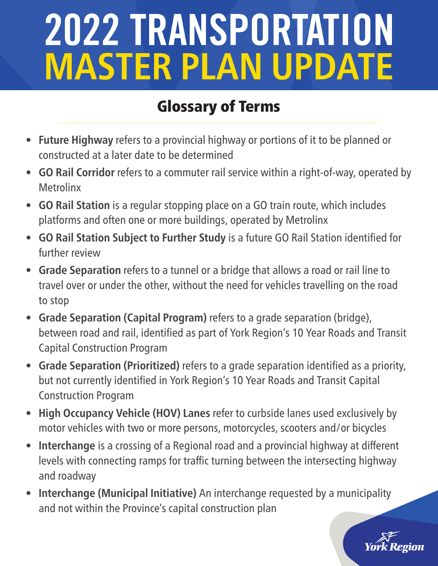- **• Future Highway** refers to a provincial highway or portions of it to be planned or constructed at a later date to be determined
- **• GO Rail Corridor** refers to a commuter rail service within a right-of-way, operated by **Metrolinx**
- **• GO Rail Station** is a regular stopping place on a GO train route, which includes platforms and often one or more buildings, operated by Metrolinx
- **• GO Rail Station Subject to Further Study** is a future GO Rail Station identified for further review
- **• Grade Separation** refers to a tunnel or a bridge that allows a road or rail line to travel over or under the other, without the need for vehicles travelling on the road to stop
- **• Grade Separation (Capital Program)** refers to a grade separation (bridge), between road and rail, identified as part of York Region's 10 Year Roads and Transit Capital Construction Program
- **• Grade Separation (Prioritized)** refers to a grade separation identified as a priority, but not currently identified in York Region's 10 Year Roads and Transit Capital Construction Program
- **• High Occupancy Vehicle (HOV) Lanes** refer to curbside lanes used exclusively by motor vehicles with two or more persons, motorcycles, scooters and/or bicycles
- **• Interchange** is a crossing of a Regional road and a provincial highway at different levels with connecting ramps for traffic turning between the intersecting highway and roadway
- **• Interchange (Municipal Initiative)** An interchange requested by a municipality and not within the Province's capital construction plan

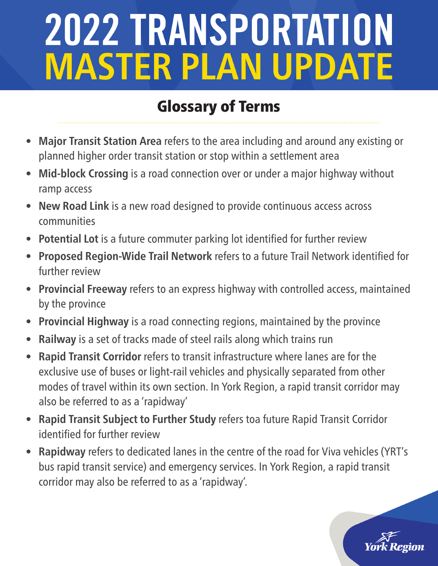- **• Major Transit Station Area** refers to the area including and around any existing or planned higher order transit station or stop within a settlement area
- **• Mid-block Crossing** is a road connection over or under a major highway without ramp access
- **• New Road Link** is a new road designed to provide continuous access across communities
- **• Potential Lot** is a future commuter parking lot identified for further review
- **• Proposed Region-Wide Trail Network** refers to a future Trail Network identified for further review
- **• Provincial Freeway** refers to an express highway with controlled access, maintained by the province
- **• Provincial Highway** is a road connecting regions, maintained by the province
- **• Railway** is a set of tracks made of steel rails along which trains run
- **• Rapid Transit Corridor** refers to transit infrastructure where lanes are for the exclusive use of buses or light-rail vehicles and physically separated from other modes of travel within its own section. In York Region, a rapid transit corridor may also be referred to as a 'rapidway'
- **• Rapid Transit Subject to Further Study** refers toa future Rapid Transit Corridor identified for further review
- **• Rapidway** refers to dedicated lanes in the centre of the road for Viva vehicles (YRT's bus rapid transit service) and emergency services. In York Region, a rapid transit corridor may also be referred to as a 'rapidway'.

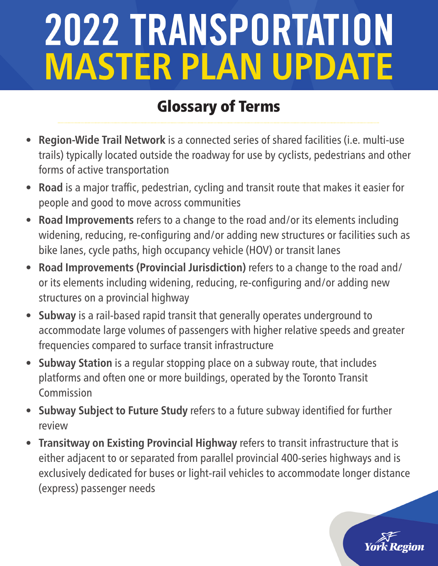- **• Region-Wide Trail Network** is a connected series of shared facilities (i.e. multi-use trails) typically located outside the roadway for use by cyclists, pedestrians and other forms of active transportation
- **• Road** is a major traffic, pedestrian, cycling and transit route that makes it easier for people and good to move across communities
- **• Road Improvements** refers to a change to the road and/or its elements including widening, reducing, re-configuring and/or adding new structures or facilities such as bike lanes, cycle paths, high occupancy vehicle (HOV) or transit lanes
- **• Road Improvements (Provincial Jurisdiction)** refers to a change to the road and/ or its elements including widening, reducing, re-configuring and/or adding new structures on a provincial highway
- **• Subway** is a rail-based rapid transit that generally operates underground to accommodate large volumes of passengers with higher relative speeds and greater frequencies compared to surface transit infrastructure
- **• Subway Station** is a regular stopping place on a subway route, that includes platforms and often one or more buildings, operated by the Toronto Transit Commission
- **• Subway Subject to Future Study** refers to a future subway identified for further review
- **• Transitway on Existing Provincial Highway** refers to transit infrastructure that is either adjacent to or separated from parallel provincial 400-series highways and is exclusively dedicated for buses or light-rail vehicles to accommodate longer distance (express) passenger needs